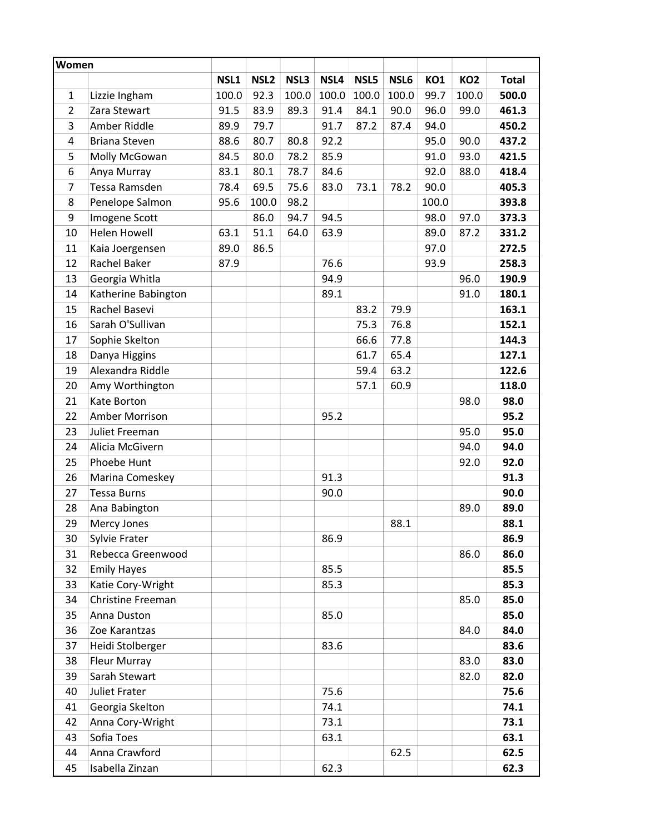| Women |                             |       |                  |       |       |       |       |       |                 |              |
|-------|-----------------------------|-------|------------------|-------|-------|-------|-------|-------|-----------------|--------------|
|       |                             | NSL1  | NSL <sub>2</sub> | NSL3  | NSL4  | NSL5  | NSL6  | KO1   | KO <sub>2</sub> | <b>Total</b> |
| 1     | Lizzie Ingham               | 100.0 | 92.3             | 100.0 | 100.0 | 100.0 | 100.0 | 99.7  | 100.0           | 500.0        |
| 2     | Zara Stewart                | 91.5  | 83.9             | 89.3  | 91.4  | 84.1  | 90.0  | 96.0  | 99.0            | 461.3        |
| 3     | Amber Riddle                | 89.9  | 79.7             |       | 91.7  | 87.2  | 87.4  | 94.0  |                 | 450.2        |
| 4     | <b>Briana Steven</b>        | 88.6  | 80.7             | 80.8  | 92.2  |       |       | 95.0  | 90.0            | 437.2        |
| 5     | Molly McGowan               | 84.5  | 80.0             | 78.2  | 85.9  |       |       | 91.0  | 93.0            | 421.5        |
| 6     | Anya Murray                 | 83.1  | 80.1             | 78.7  | 84.6  |       |       | 92.0  | 88.0            | 418.4        |
| 7     | Tessa Ramsden               | 78.4  | 69.5             | 75.6  | 83.0  | 73.1  | 78.2  | 90.0  |                 | 405.3        |
| 8     | Penelope Salmon             | 95.6  | 100.0            | 98.2  |       |       |       | 100.0 |                 | 393.8        |
| 9     | Imogene Scott               |       | 86.0             | 94.7  | 94.5  |       |       | 98.0  | 97.0            | 373.3        |
| 10    | <b>Helen Howell</b>         | 63.1  | 51.1             | 64.0  | 63.9  |       |       | 89.0  | 87.2            | 331.2        |
| 11    | Kaia Joergensen             | 89.0  | 86.5             |       |       |       |       | 97.0  |                 | 272.5        |
| 12    | Rachel Baker                | 87.9  |                  |       | 76.6  |       |       | 93.9  |                 | 258.3        |
| 13    | Georgia Whitla              |       |                  |       | 94.9  |       |       |       | 96.0            | 190.9        |
| 14    | Katherine Babington         |       |                  |       | 89.1  |       |       |       | 91.0            | 180.1        |
| 15    | Rachel Basevi               |       |                  |       |       | 83.2  | 79.9  |       |                 | 163.1        |
| 16    | Sarah O'Sullivan            |       |                  |       |       | 75.3  | 76.8  |       |                 | 152.1        |
| 17    | Sophie Skelton              |       |                  |       |       | 66.6  | 77.8  |       |                 | 144.3        |
| 18    | Danya Higgins               |       |                  |       |       | 61.7  | 65.4  |       |                 | 127.1        |
| 19    | Alexandra Riddle            |       |                  |       |       | 59.4  | 63.2  |       |                 | 122.6        |
| 20    | Amy Worthington             |       |                  |       |       | 57.1  | 60.9  |       |                 | 118.0        |
| 21    | Kate Borton                 |       |                  |       |       |       |       |       | 98.0            | 98.0         |
| 22    | Amber Morrison              |       |                  |       | 95.2  |       |       |       |                 | 95.2         |
| 23    | Juliet Freeman              |       |                  |       |       |       |       |       | 95.0            | 95.0         |
| 24    | Alicia McGivern             |       |                  |       |       |       |       |       | 94.0            | 94.0         |
| 25    | Phoebe Hunt                 |       |                  |       |       |       |       |       | 92.0            | 92.0         |
| 26    | Marina Comeskey             |       |                  |       | 91.3  |       |       |       |                 | 91.3         |
| 27    | <b>Tessa Burns</b>          |       |                  |       | 90.0  |       |       |       |                 | 90.0         |
| 28    | Ana Babington               |       |                  |       |       |       |       |       | 89.0            | 89.0         |
| 29    | Mercy Jones                 |       |                  |       |       |       | 88.1  |       |                 | 88.1         |
| 30    | Sylvie Frater               |       |                  |       | 86.9  |       |       |       |                 | 86.9         |
| 31    | Rebecca Greenwood           |       |                  |       |       |       |       |       | 86.0            | 86.0         |
| 32    | <b>Emily Hayes</b>          |       |                  |       | 85.5  |       |       |       |                 | 85.5         |
| 33    | Katie Cory-Wright           |       |                  |       | 85.3  |       |       |       |                 | 85.3         |
| 34    | Christine Freeman           |       |                  |       |       |       |       |       | 85.0            | 85.0         |
| 35    | Anna Duston                 |       |                  |       | 85.0  |       |       |       |                 | 85.0         |
| 36    | Zoe Karantzas               |       |                  |       |       |       |       |       | 84.0            | 84.0         |
| 37    | Heidi Stolberger            |       |                  |       | 83.6  |       |       |       |                 | 83.6         |
| 38    | Fleur Murray                |       |                  |       |       |       |       |       | 83.0            | 83.0         |
| 39    | Sarah Stewart               |       |                  |       |       |       |       |       | 82.0            | 82.0         |
| 40    | <b>Juliet Frater</b>        |       |                  |       | 75.6  |       |       |       |                 | 75.6         |
| 41    | Georgia Skelton             |       |                  |       | 74.1  |       |       |       |                 | 74.1         |
| 42    | Anna Cory-Wright            |       |                  |       | 73.1  |       |       |       |                 | 73.1         |
| 43    | Sofia Toes<br>Anna Crawford |       |                  |       | 63.1  |       |       |       |                 | 63.1         |
| 44    |                             |       |                  |       |       |       | 62.5  |       |                 | 62.5         |
| 45    | Isabella Zinzan             |       |                  |       | 62.3  |       |       |       |                 | 62.3         |